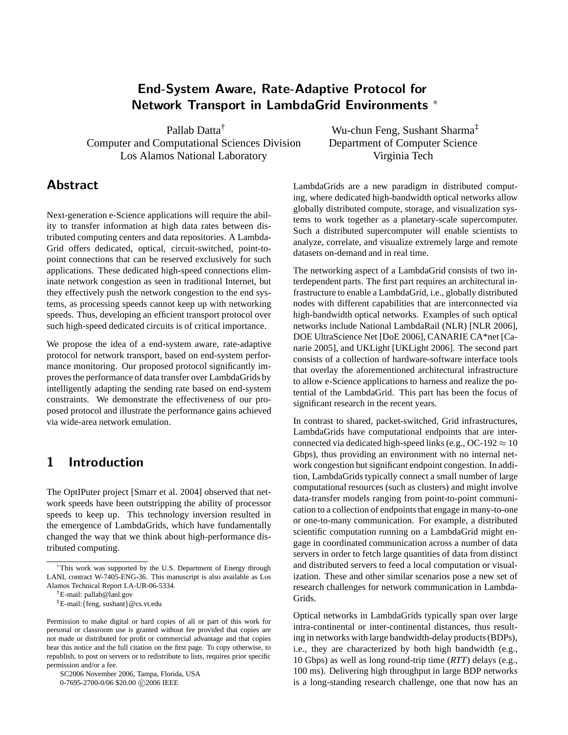# End-System Aware, Rate-Adaptive Protocol for Network Transport in LambdaGrid Environments <sup>∗</sup>

Pallab Datta† Computer and Computational Sciences Division Los Alamos National Laboratory

**Abstract** 

Next-generation e-Science applications will require the ability to transfer information at high data rates between distributed computing centers and data repositories. A Lambda-Grid offers dedicated, optical, circuit-switched, point-topoint connections that can be reserved exclusively for such applications. These dedicated high-speed connections eliminate network congestion as seen in traditional Internet, but they effectively push the network congestion to the end systems, as processing speeds cannot keep up with networking speeds. Thus, developing an efficient transport protocol over such high-speed dedicated circuits is of critical importance.

We propose the idea of a end-system aware, rate-adaptive protocol for network transport, based on end-system performance monitoring. Our proposed protocol significantly improves the performance of data transfer over LambdaGrids by intelligently adapting the sending rate based on end-system constraints. We demonstrate the effectiveness of our proposed protocol and illustrate the performance gains achieved via wide-area network emulation.

### 1 Introduction

The OptIPuter project [Smarr et al. 2004] observed that network speeds have been outstripping the ability of processor speeds to keep up. This technology inversion resulted in the emergence of LambdaGrids, which have fundamentally changed the way that we think about high-performance distributed computing.

‡E-mail:{feng, sushant}@cs.vt.edu

SC2006 November 2006, Tampa, Florida, USA 0-7695-2700-0/06 \$20.00 ©2006 IEEE

Wu-chun Feng, Sushant Sharma‡ Department of Computer Science Virginia Tech

LambdaGrids are a new paradigm in distributed computing, where dedicated high-bandwidth optical networks allow globally distributed compute, storage, and visualization systems to work together as a planetary-scale supercomputer. Such a distributed supercomputer will enable scientists to analyze, correlate, and visualize extremely large and remote datasets on-demand and in real time.

The networking aspect of a LambdaGrid consists of two interdependent parts. The first part requires an architectural infrastructure to enable a LambdaGrid, i.e., globally distributed nodes with different capabilities that are interconnected via high-bandwidth optical networks. Examples of such optical networks include National LambdaRail (NLR) [NLR 2006], DOE UltraScience Net [DoE 2006], CANARIE CA\*net [Canarie 2005], and UKLight [UKLight 2006]. The second part consists of a collection of hardware-software interface tools that overlay the aforementioned architectural infrastructure to allow e-Science applications to harness and realize the potential of the LambdaGrid. This part has been the focus of significant research in the recent years.

In contrast to shared, packet-switched, Grid infrastructures, LambdaGrids have computational endpoints that are interconnected via dedicated high-speed links (e.g., OC-192  $\approx$  10 Gbps), thus providing an environment with no internal network congestion but significant endpoint congestion. In addition, LambdaGrids typically connect a small number of large computational resources (such as clusters) and might involve data-transfer models ranging from point-to-point communication to a collection of endpoints that engage in many-to-one or one-to-many communication. For example, a distributed scientific computation running on a LambdaGrid might engage in coordinated communication across a number of data servers in order to fetch large quantities of data from distinct and distributed servers to feed a local computation or visualization. These and other similar scenarios pose a new set of research challenges for network communication in Lambda-Grids.

Optical networks in LambdaGrids typically span over large intra-continental or inter-continental distances, thus resulting in networks with large bandwidth-delay products (BDPs), i.e., they are characterized by both high bandwidth (e.g., 10 Gbps) as well as long round-trip time (*RTT*) delays (e.g., 100 ms). Delivering high throughput in large BDP networks is a long-standing research challenge, one that now has an

<sup>∗</sup>This work was supported by the U.S. Department of Energy through LANL contract W-7405-ENG-36. This manuscript is also available as Los Alamos Technical Report LA-UR-06-5334.

<sup>†</sup>E-mail: pallab@lanl.gov

Permission to make digital or hard copies of all or part of this work for personal or classroom use is granted without fee provided that copies are not made or distributed for profit or commercial advantage and that copies bear this notice and the full citation on the first page. To copy otherwise, to republish, to post on servers or to redistribute to lists, requires prior specific permission and/or a fee.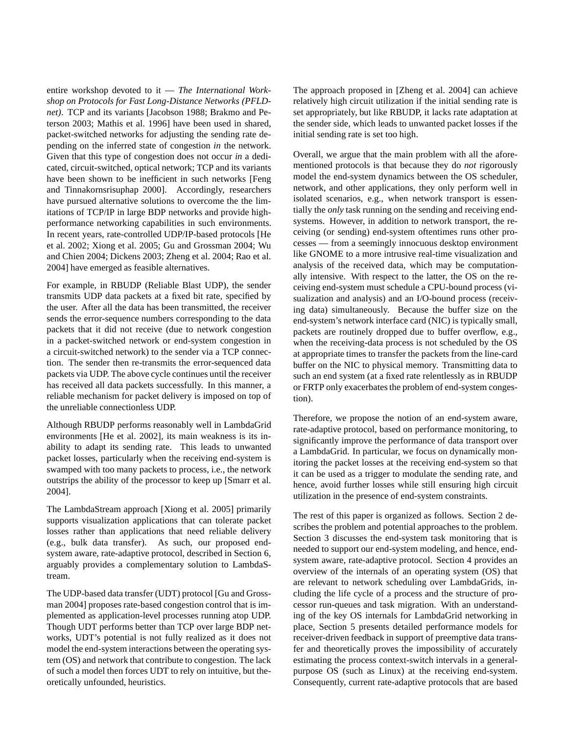entire workshop devoted to it — *The International Workshop on Protocols for Fast Long-Distance Networks (PFLDnet)*. TCP and its variants [Jacobson 1988; Brakmo and Peterson 2003; Mathis et al. 1996] have been used in shared, packet-switched networks for adjusting the sending rate depending on the inferred state of congestion *in* the network. Given that this type of congestion does not occur *in* a dedicated, circuit-switched, optical network; TCP and its variants have been shown to be inefficient in such networks [Feng and Tinnakornsrisuphap 2000]. Accordingly, researchers have pursued alternative solutions to overcome the the limitations of TCP/IP in large BDP networks and provide highperformance networking capabilities in such environments. In recent years, rate-controlled UDP/IP-based protocols [He et al. 2002; Xiong et al. 2005; Gu and Grossman 2004; Wu and Chien 2004; Dickens 2003; Zheng et al. 2004; Rao et al. 2004] have emerged as feasible alternatives.

For example, in RBUDP (Reliable Blast UDP), the sender transmits UDP data packets at a fixed bit rate, specified by the user. After all the data has been transmitted, the receiver sends the error-sequence numbers corresponding to the data packets that it did not receive (due to network congestion in a packet-switched network or end-system congestion in a circuit-switched network) to the sender via a TCP connection. The sender then re-transmits the error-sequenced data packets via UDP. The above cycle continues until the receiver has received all data packets successfully. In this manner, a reliable mechanism for packet delivery is imposed on top of the unreliable connectionless UDP.

Although RBUDP performs reasonably well in LambdaGrid environments [He et al. 2002], its main weakness is its inability to adapt its sending rate. This leads to unwanted packet losses, particularly when the receiving end-system is swamped with too many packets to process, i.e., the network outstrips the ability of the processor to keep up [Smarr et al. 2004].

The LambdaStream approach [Xiong et al. 2005] primarily supports visualization applications that can tolerate packet losses rather than applications that need reliable delivery (e.g., bulk data transfer). As such, our proposed endsystem aware, rate-adaptive protocol, described in Section 6, arguably provides a complementary solution to LambdaStream.

The UDP-based data transfer (UDT) protocol [Gu and Grossman 2004] proposes rate-based congestion control that is implemented as application-level processes running atop UDP. Though UDT performs better than TCP over large BDP networks, UDT's potential is not fully realized as it does not model the end-system interactions between the operating system (OS) and network that contribute to congestion. The lack of such a model then forces UDT to rely on intuitive, but theoretically unfounded, heuristics.

The approach proposed in [Zheng et al. 2004] can achieve relatively high circuit utilization if the initial sending rate is set appropriately, but like RBUDP, it lacks rate adaptation at the sender side, which leads to unwanted packet losses if the initial sending rate is set too high.

Overall, we argue that the main problem with all the aforementioned protocols is that because they do *not* rigorously model the end-system dynamics between the OS scheduler, network, and other applications, they only perform well in isolated scenarios, e.g., when network transport is essentially the *only* task running on the sending and receiving endsystems. However, in addition to network transport, the receiving (or sending) end-system oftentimes runs other processes — from a seemingly innocuous desktop environment like GNOME to a more intrusive real-time visualization and analysis of the received data, which may be computationally intensive. With respect to the latter, the OS on the receiving end-system must schedule a CPU-bound process (visualization and analysis) and an I/O-bound process (receiving data) simultaneously. Because the buffer size on the end-system's network interface card (NIC) is typically small, packets are routinely dropped due to buffer overflow, e.g., when the receiving-data process is not scheduled by the OS at appropriate times to transfer the packets from the line-card buffer on the NIC to physical memory. Transmitting data to such an end system (at a fixed rate relentlessly as in RBUDP or FRTP only exacerbates the problem of end-system congestion).

Therefore, we propose the notion of an end-system aware, rate-adaptive protocol, based on performance monitoring, to significantly improve the performance of data transport over a LambdaGrid. In particular, we focus on dynamically monitoring the packet losses at the receiving end-system so that it can be used as a trigger to modulate the sending rate, and hence, avoid further losses while still ensuring high circuit utilization in the presence of end-system constraints.

The rest of this paper is organized as follows. Section 2 describes the problem and potential approaches to the problem. Section 3 discusses the end-system task monitoring that is needed to support our end-system modeling, and hence, endsystem aware, rate-adaptive protocol. Section 4 provides an overview of the internals of an operating system (OS) that are relevant to network scheduling over LambdaGrids, including the life cycle of a process and the structure of processor run-queues and task migration. With an understanding of the key OS internals for LambdaGrid networking in place, Section 5 presents detailed performance models for receiver-driven feedback in support of preemptive data transfer and theoretically proves the impossibility of accurately estimating the process context-switch intervals in a generalpurpose OS (such as Linux) at the receiving end-system. Consequently, current rate-adaptive protocols that are based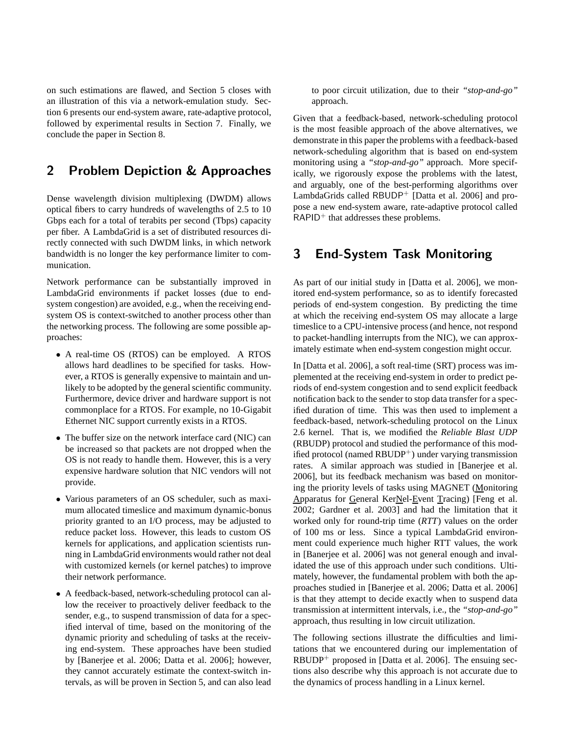on such estimations are flawed, and Section 5 closes with an illustration of this via a network-emulation study. Section 6 presents our end-system aware, rate-adaptive protocol, followed by experimental results in Section 7. Finally, we conclude the paper in Section 8.

## 2 Problem Depiction & Approaches

Dense wavelength division multiplexing (DWDM) allows optical fibers to carry hundreds of wavelengths of 2.5 to 10 Gbps each for a total of terabits per second (Tbps) capacity per fiber. A LambdaGrid is a set of distributed resources directly connected with such DWDM links, in which network bandwidth is no longer the key performance limiter to communication.

Network performance can be substantially improved in LambdaGrid environments if packet losses (due to endsystem congestion) are avoided, e.g., when the receiving endsystem OS is context-switched to another process other than the networking process. The following are some possible approaches:

- A real-time OS (RTOS) can be employed. A RTOS allows hard deadlines to be specified for tasks. However, a RTOS is generally expensive to maintain and unlikely to be adopted by the general scientific community. Furthermore, device driver and hardware support is not commonplace for a RTOS. For example, no 10-Gigabit Ethernet NIC support currently exists in a RTOS.
- The buffer size on the network interface card (NIC) can be increased so that packets are not dropped when the OS is not ready to handle them. However, this is a very expensive hardware solution that NIC vendors will not provide.
- Various parameters of an OS scheduler, such as maximum allocated timeslice and maximum dynamic-bonus priority granted to an I/O process, may be adjusted to reduce packet loss. However, this leads to custom OS kernels for applications, and application scientists running in LambdaGrid environments would rather not deal with customized kernels (or kernel patches) to improve their network performance.
- A feedback-based, network-scheduling protocol can allow the receiver to proactively deliver feedback to the sender, e.g., to suspend transmission of data for a specified interval of time, based on the monitoring of the dynamic priority and scheduling of tasks at the receiving end-system. These approaches have been studied by [Banerjee et al. 2006; Datta et al. 2006]; however, they cannot accurately estimate the context-switch intervals, as will be proven in Section 5, and can also lead

to poor circuit utilization, due to their *"stop-and-go"* approach.

Given that a feedback-based, network-scheduling protocol is the most feasible approach of the above alternatives, we demonstrate in this paper the problems with a feedback-based network-scheduling algorithm that is based on end-system monitoring using a *"stop-and-go"* approach. More specifically, we rigorously expose the problems with the latest, and arguably, one of the best-performing algorithms over LambdaGrids called RBUDP<sup>+</sup> [Datta et al. 2006] and propose a new end-system aware, rate-adaptive protocol called  $RAPID<sup>+</sup>$  that addresses these problems.

### 3 End-System Task Monitoring

As part of our initial study in [Datta et al. 2006], we monitored end-system performance, so as to identify forecasted periods of end-system congestion. By predicting the time at which the receiving end-system OS may allocate a large timeslice to a CPU-intensive process (and hence, not respond to packet-handling interrupts from the NIC), we can approximately estimate when end-system congestion might occur.

In [Datta et al. 2006], a soft real-time (SRT) process was implemented at the receiving end-system in order to predict periods of end-system congestion and to send explicit feedback notification back to the sender to stop data transfer for a specified duration of time. This was then used to implement a feedback-based, network-scheduling protocol on the Linux 2.6 kernel. That is, we modified the *Reliable Blast UDP* (RBUDP) protocol and studied the performance of this modified protocol (named  $RBUDP<sup>+</sup>$ ) under varying transmission rates. A similar approach was studied in [Banerjee et al. 2006], but its feedback mechanism was based on monitoring the priority levels of tasks using MAGNET (Monitoring Apparatus for General KerNel-Event Tracing) [Feng et al. 2002; Gardner et al. 2003] and had the limitation that it worked only for round-trip time (*RTT*) values on the order of 100 ms or less. Since a typical LambdaGrid environment could experience much higher RTT values, the work in [Banerjee et al. 2006] was not general enough and invalidated the use of this approach under such conditions. Ultimately, however, the fundamental problem with both the approaches studied in [Banerjee et al. 2006; Datta et al. 2006] is that they attempt to decide exactly when to suspend data transmission at intermittent intervals, i.e., the *"stop-and-go"* approach, thus resulting in low circuit utilization.

The following sections illustrate the difficulties and limitations that we encountered during our implementation of  $RBUDP<sup>+</sup>$  proposed in [Datta et al. 2006]. The ensuing sections also describe why this approach is not accurate due to the dynamics of process handling in a Linux kernel.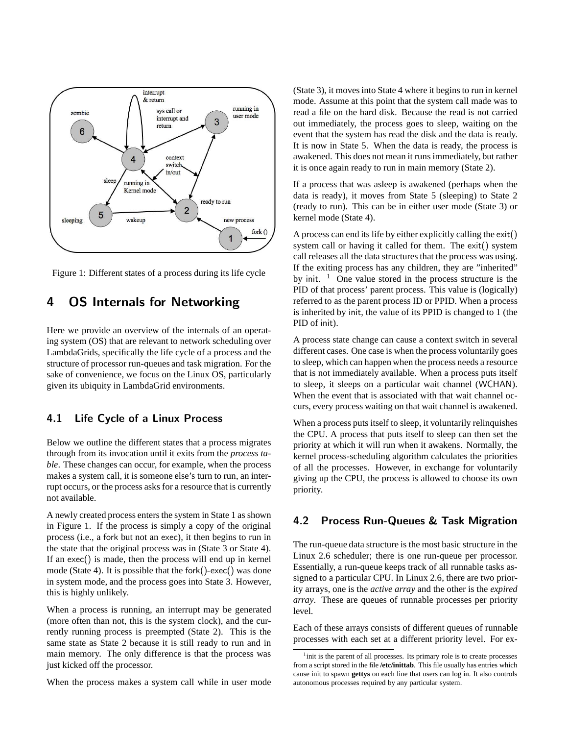

Figure 1: Different states of a process during its life cycle

## 4 OS Internals for Networking

Here we provide an overview of the internals of an operating system (OS) that are relevant to network scheduling over LambdaGrids, specifically the life cycle of a process and the structure of processor run-queues and task migration. For the sake of convenience, we focus on the Linux OS, particularly given its ubiquity in LambdaGrid environments.

### 4.1 Life Cycle of a Linux Process

Below we outline the different states that a process migrates through from its invocation until it exits from the *process table*. These changes can occur, for example, when the process makes a system call, it is someone else's turn to run, an interrupt occurs, or the process asks for a resource that is currently not available.

A newly created process enters the system in State 1 as shown in Figure 1. If the process is simply a copy of the original process (i.e., a fork but not an exec), it then begins to run in the state that the original process was in (State 3 or State 4). If an exec() is made, then the process will end up in kernel mode (State 4). It is possible that the fork()-exec() was done in system mode, and the process goes into State 3. However, this is highly unlikely.

When a process is running, an interrupt may be generated (more often than not, this is the system clock), and the currently running process is preempted (State 2). This is the same state as State 2 because it is still ready to run and in main memory. The only difference is that the process was just kicked off the processor.

When the process makes a system call while in user mode

(State 3), it moves into State 4 where it begins to run in kernel mode. Assume at this point that the system call made was to read a file on the hard disk. Because the read is not carried out immediately, the process goes to sleep, waiting on the event that the system has read the disk and the data is ready. It is now in State 5. When the data is ready, the process is awakened. This does not mean it runs immediately, but rather it is once again ready to run in main memory (State 2).

If a process that was asleep is awakened (perhaps when the data is ready), it moves from State 5 (sleeping) to State 2 (ready to run). This can be in either user mode (State 3) or kernel mode (State 4).

A process can end its life by either explicitly calling the exit() system call or having it called for them. The exit() system call releases all the data structures that the process was using. If the exiting process has any children, they are "inherited" by init.  $\frac{1}{1}$  One value stored in the process structure is the PID of that process' parent process. This value is (logically) referred to as the parent process ID or PPID. When a process is inherited by init, the value of its PPID is changed to 1 (the PID of init).

A process state change can cause a context switch in several different cases. One case is when the process voluntarily goes to sleep, which can happen when the process needs a resource that is not immediately available. When a process puts itself to sleep, it sleeps on a particular wait channel (WCHAN). When the event that is associated with that wait channel occurs, every process waiting on that wait channel is awakened.

When a process puts itself to sleep, it voluntarily relinquishes the CPU. A process that puts itself to sleep can then set the priority at which it will run when it awakens. Normally, the kernel process-scheduling algorithm calculates the priorities of all the processes. However, in exchange for voluntarily giving up the CPU, the process is allowed to choose its own priority.

#### 4.2 Process Run-Queues & Task Migration

The run-queue data structure is the most basic structure in the Linux 2.6 scheduler; there is one run-queue per processor. Essentially, a run-queue keeps track of all runnable tasks assigned to a particular CPU. In Linux 2.6, there are two priority arrays, one is the *active array* and the other is the *expired array*. These are queues of runnable processes per priority level.

Each of these arrays consists of different queues of runnable processes with each set at a different priority level. For ex-

<sup>&</sup>lt;sup>1</sup>init is the parent of all processes. Its primary role is to create processes from a script stored in the file **/etc/inittab**. This file usually has entries which cause init to spawn **gettys** on each line that users can log in. It also controls autonomous processes required by any particular system.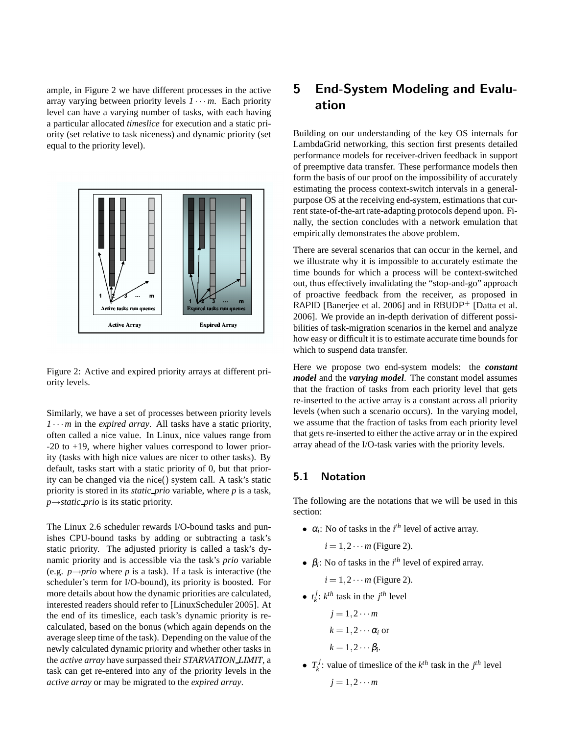ample, in Figure 2 we have different processes in the active array varying between priority levels  $1 \cdots m$ . Each priority level can have a varying number of tasks, with each having a particular allocated *timeslice* for execution and a static priority (set relative to task niceness) and dynamic priority (set equal to the priority level).



Figure 2: Active and expired priority arrays at different priority levels.

Similarly, we have a set of processes between priority levels  $1 \cdots m$  in the *expired array*. All tasks have a static priority, often called a nice value. In Linux, nice values range from -20 to +19, where higher values correspond to lower priority (tasks with high nice values are nicer to other tasks). By default, tasks start with a static priority of 0, but that priority can be changed via the nice() system call. A task's static priority is stored in its *static prio* variable, where *p* is a task, *p*→*static\_prio* is its static priority.

The Linux 2.6 scheduler rewards I/O-bound tasks and punishes CPU-bound tasks by adding or subtracting a task's static priority. The adjusted priority is called a task's dynamic priority and is accessible via the task's *prio* variable (e.g.  $p \rightarrow prio$  where p is a task). If a task is interactive (the scheduler's term for I/O-bound), its priority is boosted. For more details about how the dynamic priorities are calculated, interested readers should refer to [LinuxScheduler 2005]. At the end of its timeslice, each task's dynamic priority is recalculated, based on the bonus (which again depends on the average sleep time of the task). Depending on the value of the newly calculated dynamic priority and whether other tasks in the *active array* have surpassed their *STARVATION LIMIT*, a task can get re-entered into any of the priority levels in the *active array* or may be migrated to the *expired array*.

## 5 End-System Modeling and Evaluation

Building on our understanding of the key OS internals for LambdaGrid networking, this section first presents detailed performance models for receiver-driven feedback in support of preemptive data transfer. These performance models then form the basis of our proof on the impossibility of accurately estimating the process context-switch intervals in a generalpurpose OS at the receiving end-system, estimations that current state-of-the-art rate-adapting protocols depend upon. Finally, the section concludes with a network emulation that empirically demonstrates the above problem.

There are several scenarios that can occur in the kernel, and we illustrate why it is impossible to accurately estimate the time bounds for which a process will be context-switched out, thus effectively invalidating the "stop-and-go" approach of proactive feedback from the receiver, as proposed in RAPID [Banerjee et al. 2006] and in RBUDP<sup>+</sup> [Datta et al. 2006]. We provide an in-depth derivation of different possibilities of task-migration scenarios in the kernel and analyze how easy or difficult it is to estimate accurate time bounds for which to suspend data transfer.

Here we propose two end-system models: the *constant model* and the *varying model*. The constant model assumes that the fraction of tasks from each priority level that gets re-inserted to the active array is a constant across all priority levels (when such a scenario occurs). In the varying model, we assume that the fraction of tasks from each priority level that gets re-inserted to either the active array or in the expired array ahead of the I/O-task varies with the priority levels.

#### 5.1 Notation

The following are the notations that we will be used in this section:

•  $\alpha_i$ : No of tasks in the *i*<sup>th</sup> level of active array.

 $i = 1, 2 \cdots m$  (Figure 2).

•  $\beta_i$ : No of tasks in the *i*<sup>th</sup> level of expired array.

$$
i = 1, 2 \cdots m
$$
 (Figure 2).

- $\bullet$   $t_k^j$  $\int_{k}^{j}$ :  $k^{th}$  task in the  $j^{th}$  level
	- $j = 1, 2 \cdots m$  $k = 1, 2 \cdots \alpha_i$  or  $k = 1, 2 \cdots \beta_i.$
- $\bullet$   $T_{k}^{j}$  $k^{j}$ : value of timeslice of the  $k^{th}$  task in the  $j^{th}$  level

$$
j=1,2\cdots m
$$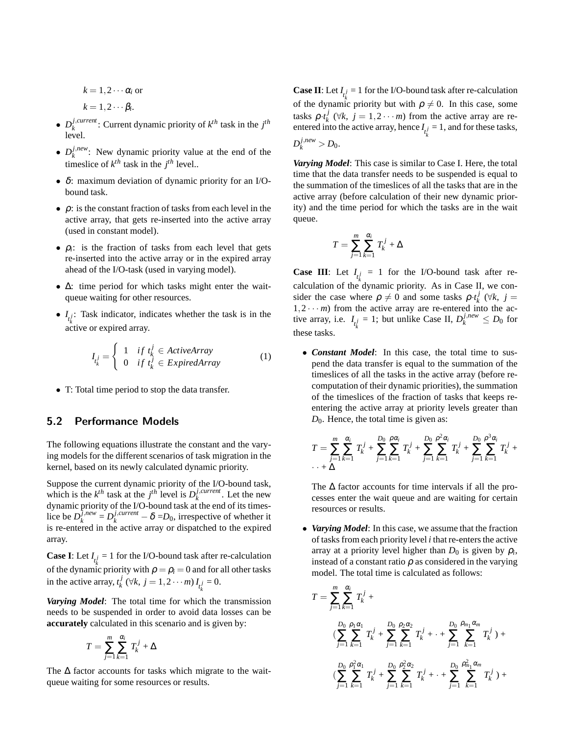$$
k=1,2\cdots\alpha_i\text{ or }
$$

$$
k=1,2\cdots\beta_i.
$$

- $\bullet$   $D_k^{j, current}$  $\mu_k^{j, current}$ : Current dynamic priority of  $k^{th}$  task in the  $j^{th}$ level.
- $D_k^{j,new}$ : New dynamic priority value at the end of the timeslice of  $k^{th}$  task in the  $j^{th}$  level..
- $\bullet$   $\delta$ : maximum deviation of dynamic priority for an I/Obound task.
- $\bullet$   $\rho$ : is the constant fraction of tasks from each level in the active array, that gets re-inserted into the active array (used in constant model).
- $\bullet$   $\rho_i$ : is the fraction of tasks from each level that gets re-inserted into the active array or in the expired array ahead of the I/O-task (used in varying model).
- ∆: time period for which tasks might enter the waitqueue waiting for other resources.
- $I_{t_k^j}$ : Task indicator, indicates whether the task is in the active or expired array.

$$
I_{t_k^j} = \begin{cases} 1 & \text{if } t_k^j \in \text{ActiveArray} \\ 0 & \text{if } t_k^j \in \text{ExplicitArray} \end{cases} \tag{1}
$$

• T: Total time period to stop the data transfer.

#### 5.2 Performance Models

The following equations illustrate the constant and the varying models for the different scenarios of task migration in the kernel, based on its newly calculated dynamic priority.

Suppose the current dynamic priority of the I/O-bound task, which is the  $k^{th}$  task at the  $j^{th}$  level is  $D_k^{j, current}$ . Let the new which is the  $k^2$  task at the  $j^2$  level is  $D_k$ . Let the hew dynamic priority of the I/O-bound task at the end of its timeslice be  $D_k^{j, new} = D_k^{j, current} - \delta = D_0$ , irrespective of whether it is re-entered in the active array or dispatched to the expired array.

**Case I**: Let  $I_{t_i^j} = 1$  for the I/O-bound task after re-calculation of the dynamic priority with  $\rho = \rho_i = 0$  and for all other tasks in the active array,  $t_k^j$  $I_k^J(\forall k, j = 1, 2 \cdots m) I_{t_k^j} = 0.$ 

*Varying Model*: The total time for which the transmission needs to be suspended in order to avoid data losses can be **accurately** calculated in this scenario and is given by:

$$
T = \sum_{j=1}^{m} \sum_{k=1}^{\alpha_i} T_k^j + \Delta
$$

The ∆ factor accounts for tasks which migrate to the waitqueue waiting for some resources or results.

**Case II**: Let  $I_{t_k^j} = 1$  for the I/O-bound task after re-calculation of the dynamic priority but with  $\rho \neq 0$ . In this case, some tasks  $\rho \cdot t_k^j$  $\chi_k^J$  ( $\forall k, j = 1, 2 \cdots m$ ) from the active array are reentered into the active array, hence  $I_{t_k^j} = 1$ , and for these tasks,  $D_k^{j,new} > D_0.$ 

*Varying Model*: This case is similar to Case I. Here, the total time that the data transfer needs to be suspended is equal to the summation of the timeslices of all the tasks that are in the active array (before calculation of their new dynamic priority) and the time period for which the tasks are in the wait queue.

$$
T = \sum_{j=1}^{m} \sum_{k=1}^{\alpha_i} T_k^j + \Delta
$$

**Case III**: Let  $I_{t_k^j} = 1$  for the I/O-bound task after recalculation of the dynamic priority. As in Case II, we consider the case where  $\rho \neq 0$  and some tasks  $\rho \cdot t_k^j$ *k* (∀*k*, *j* =  $1, 2 \cdots m$ ) from the active array are re-entered into the active array, i.e.  $I_{t_k^j} = 1$ ; but unlike Case II,  $D_k^{j,new} \le D_0$  for these tasks.

• *Constant Model*: In this case, the total time to suspend the data transfer is equal to the summation of the timeslices of all the tasks in the active array (before recomputation of their dynamic priorities), the summation of the timeslices of the fraction of tasks that keeps reentering the active array at priority levels greater than *D*<sub>0</sub>. Hence, the total time is given as:

$$
T = \sum_{j=1}^{m} \sum_{k=1}^{\alpha_i} T_k^j + \sum_{j=1}^{D_0} \sum_{k=1}^{\rho \alpha_i} T_k^j + \sum_{j=1}^{D_0} \sum_{k=1}^{\rho^2 \alpha_i} T_k^j + \sum_{j=1}^{D_0} \sum_{k=1}^{\rho^3 \alpha_i} T_k^j + \cdots + \Delta
$$

The  $\Delta$  factor accounts for time intervals if all the processes enter the wait queue and are waiting for certain resources or results.

• *Varying Model*: In this case, we assume that the fraction of tasks from each priority level *i* that re-enters the active array at a priority level higher than  $D_0$  is given by  $\rho_i$ , instead of a constant ratio  $\rho$  as considered in the varying model. The total time is calculated as follows:

$$
T = \sum_{j=1}^{m} \sum_{k=1}^{\alpha_i} T_k^j +
$$
  
\n
$$
\left(\sum_{j=1}^{D_0} \sum_{k=1}^{p_1 \alpha_1} T_k^j + \sum_{j=1}^{D_0} \sum_{k=1}^{p_2 \alpha_2} T_k^j + \cdots + \sum_{j=1}^{D_0} \sum_{k=1}^{p_{m_1} \alpha_m} T_k^j + \cdots \right)
$$
  
\n
$$
\left(\sum_{j=1}^{D_0} \sum_{k=1}^{p_1^2 \alpha_1} T_k^j + \sum_{j=1}^{D_0} \sum_{k=1}^{p_2^2 \alpha_2} T_k^j + \cdots + \sum_{j=1}^{D_0} \sum_{k=1}^{p_{m_1}^2 \alpha_m} T_k^j + \cdots \right)
$$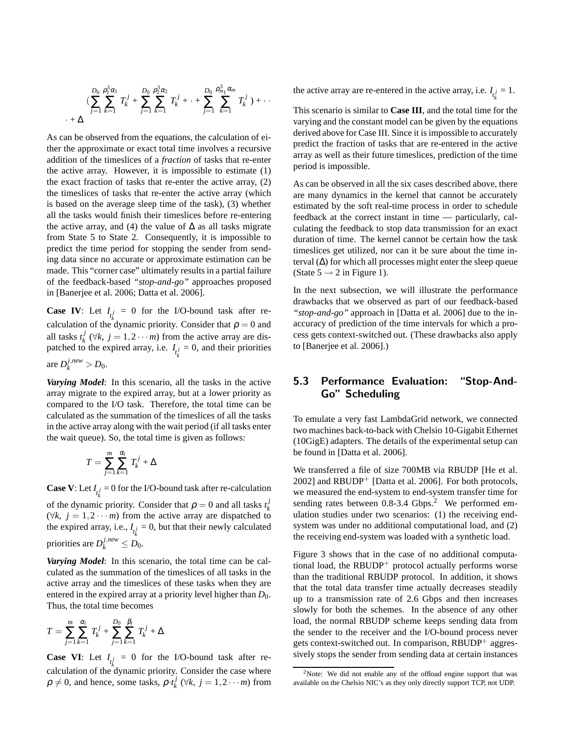$$
(\sum_{j=1}^{D_0} \sum_{k=1}^{p_1^3 \alpha_1} T_k^j + \sum_{j=1}^{D_0} \sum_{k=1}^{p_2^3 \alpha_2} T_k^j + \cdots + \sum_{j=1}^{D_0} \sum_{k=1}^{p_{m_1}^3 \alpha_m} T_k^j) + \cdots
$$
  
+ 
$$
\Delta
$$

As can be observed from the equations, the calculation of either the approximate or exact total time involves a recursive addition of the timeslices of a *fraction* of tasks that re-enter the active array. However, it is impossible to estimate (1) the exact fraction of tasks that re-enter the active array, (2) the timeslices of tasks that re-enter the active array (which is based on the average sleep time of the task), (3) whether all the tasks would finish their timeslices before re-entering the active array, and (4) the value of  $\Delta$  as all tasks migrate from State 5 to State 2. Consequently, it is impossible to predict the time period for stopping the sender from sending data since no accurate or approximate estimation can be made. This "corner case" ultimately results in a partial failure of the feedback-based *"stop-and-go"* approaches proposed in [Banerjee et al. 2006; Datta et al. 2006].

**Case IV**: Let  $I_{t_i^j} = 0$  for the I/O-bound task after recalculation of the dynamic priority. Consider that  $\rho = 0$  and all tasks *t j*  $\chi_k^J$  ( $\forall k, j = 1, 2 \cdots m$ ) from the active array are dispatched to the expired array, i.e.  $I_{t_k^j} = 0$ , and their priorities are  $D_k^{j,new} > D_0$ .

*Varying Model*: In this scenario, all the tasks in the active array migrate to the expired array, but at a lower priority as compared to the I/O task. Therefore, the total time can be calculated as the summation of the timeslices of all the tasks in the active array along with the wait period (if all tasks enter the wait queue). So, the total time is given as follows:

$$
T = \sum_{j=1}^{m} \sum_{k=1}^{\alpha_i} T_k^j + \Delta
$$

**Case V**: Let  $I_{t_k^j} = 0$  for the I/O-bound task after re-calculation of the dynamic priority. Consider that  $\rho = 0$  and all tasks  $t_k^j$ *k* ( $∀k$ ,  $j = 1, 2 \cdots m$ ) from the active array are dispatched to the expired array, i.e.,  $I_{t_k^j} = 0$ , but that their newly calculated priorities are  $D_k^{j,new} \leq D_0$ .

*Varying Model*: In this scenario, the total time can be calculated as the summation of the timeslices of all tasks in the active array and the timeslices of these tasks when they are entered in the expired array at a priority level higher than  $D_0$ . Thus, the total time becomes

$$
T = \sum_{j=1}^{m} \sum_{k=1}^{\alpha_i} T_k^{j} + \sum_{j=1}^{D_0} \sum_{k=1}^{\beta_i} T_k^{j} + \Delta
$$

**Case VI**: Let  $I_{t_i^j} = 0$  for the I/O-bound task after re*k* calculation of the dynamic priority. Consider the case where  $\rho \neq 0$ , and hence, some tasks,  $\rho \cdot t_k^j$  $\chi_k^j$  ( $\forall k, j = 1, 2 \cdots m$ ) from the active array are re-entered in the active array, i.e.  $I_{t_k^j} = 1$ .

This scenario is similar to **Case III**, and the total time for the varying and the constant model can be given by the equations derived above for Case III. Since it is impossible to accurately predict the fraction of tasks that are re-entered in the active array as well as their future timeslices, prediction of the time period is impossible.

As can be observed in all the six cases described above, there are many dynamics in the kernel that cannot be accurately estimated by the soft real-time process in order to schedule feedback at the correct instant in time — particularly, calculating the feedback to stop data transmission for an exact duration of time. The kernel cannot be certain how the task timeslices get utilized, nor can it be sure about the time interval  $(\Delta)$  for which all processes might enter the sleep queue (State  $5 \rightarrow 2$  in Figure 1).

In the next subsection, we will illustrate the performance drawbacks that we observed as part of our feedback-based *"stop-and-go"* approach in [Datta et al. 2006] due to the inaccuracy of prediction of the time intervals for which a process gets context-switched out. (These drawbacks also apply to [Banerjee et al. 2006].)

#### 5.3 Performance Evaluation: "Stop-And-Go" Scheduling

To emulate a very fast LambdaGrid network, we connected two machines back-to-back with Chelsio 10-Gigabit Ethernet (10GigE) adapters. The details of the experimental setup can be found in [Datta et al. 2006].

We transferred a file of size 700MB via RBUDP [He et al.  $2002$ ] and RBUDP<sup>+</sup> [Datta et al. 2006]. For both protocols, we measured the end-system to end-system transfer time for sending rates between  $0.8$ -3.4 Gbps.<sup>2</sup> We performed emulation studies under two scenarios: (1) the receiving endsystem was under no additional computational load, and (2) the receiving end-system was loaded with a synthetic load.

Figure 3 shows that in the case of no additional computational load, the RBUDP<sup>+</sup> protocol actually performs worse than the traditional RBUDP protocol. In addition, it shows that the total data transfer time actually decreases steadily up to a transmission rate of 2.6 Gbps and then increases slowly for both the schemes. In the absence of any other load, the normal RBUDP scheme keeps sending data from the sender to the receiver and the I/O-bound process never gets context-switched out. In comparison, RBUDP<sup>+</sup> aggressively stops the sender from sending data at certain instances

 $2$ Note: We did not enable any of the offload engine support that was available on the Chelsio NIC's as they only directly support TCP, not UDP.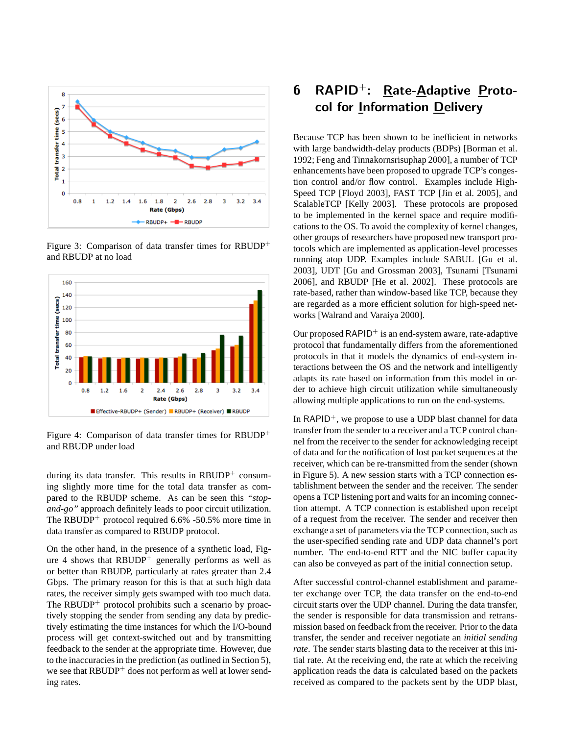

Figure 3: Comparison of data transfer times for RBUDP<sup>+</sup> and RBUDP at no load



Figure 4: Comparison of data transfer times for RBUDP<sup>+</sup> and RBUDP under load

during its data transfer. This results in RBUDP<sup>+</sup> consuming slightly more time for the total data transfer as compared to the RBUDP scheme. As can be seen this *"stopand-go"* approach definitely leads to poor circuit utilization. The RBUDP<sup>+</sup> protocol required  $6.6\%$  -50.5% more time in data transfer as compared to RBUDP protocol.

On the other hand, in the presence of a synthetic load, Figure 4 shows that RBUDP<sup>+</sup> generally performs as well as or better than RBUDP, particularly at rates greater than 2.4 Gbps. The primary reason for this is that at such high data rates, the receiver simply gets swamped with too much data. The RBUDP<sup>+</sup> protocol prohibits such a scenario by proactively stopping the sender from sending any data by predictively estimating the time instances for which the I/O-bound process will get context-switched out and by transmitting feedback to the sender at the appropriate time. However, due to the inaccuracies in the prediction (as outlined in Section 5), we see that  $RBUDP<sup>+</sup>$  does not perform as well at lower sending rates.

# 6 RAPID<sup>+</sup>: Rate-Adaptive Protocol for Information Delivery

Because TCP has been shown to be inefficient in networks with large bandwidth-delay products (BDPs) [Borman et al. 1992; Feng and Tinnakornsrisuphap 2000], a number of TCP enhancements have been proposed to upgrade TCP's congestion control and/or flow control. Examples include High-Speed TCP [Floyd 2003], FAST TCP [Jin et al. 2005], and ScalableTCP [Kelly 2003]. These protocols are proposed to be implemented in the kernel space and require modifications to the OS. To avoid the complexity of kernel changes, other groups of researchers have proposed new transport protocols which are implemented as application-level processes running atop UDP. Examples include SABUL [Gu et al. 2003], UDT [Gu and Grossman 2003], Tsunami [Tsunami 2006], and RBUDP [He et al. 2002]. These protocols are rate-based, rather than window-based like TCP, because they are regarded as a more efficient solution for high-speed networks [Walrand and Varaiya 2000].

Our proposed  $\mathsf{RAPID}^+$  is an end-system aware, rate-adaptive protocol that fundamentally differs from the aforementioned protocols in that it models the dynamics of end-system interactions between the OS and the network and intelligently adapts its rate based on information from this model in order to achieve high circuit utilization while simultaneously allowing multiple applications to run on the end-systems.

In  $RAPID^+$ , we propose to use a UDP blast channel for data transfer from the sender to a receiver and a TCP control channel from the receiver to the sender for acknowledging receipt of data and for the notification of lost packet sequences at the receiver, which can be re-transmitted from the sender (shown in Figure 5). A new session starts with a TCP connection establishment between the sender and the receiver. The sender opens a TCP listening port and waits for an incoming connection attempt. A TCP connection is established upon receipt of a request from the receiver. The sender and receiver then exchange a set of parameters via the TCP connection, such as the user-specified sending rate and UDP data channel's port number. The end-to-end RTT and the NIC buffer capacity can also be conveyed as part of the initial connection setup.

After successful control-channel establishment and parameter exchange over TCP, the data transfer on the end-to-end circuit starts over the UDP channel. During the data transfer, the sender is responsible for data transmission and retransmission based on feedback from the receiver. Prior to the data transfer, the sender and receiver negotiate an *initial sending rate*. The sender starts blasting data to the receiver at this initial rate. At the receiving end, the rate at which the receiving application reads the data is calculated based on the packets received as compared to the packets sent by the UDP blast,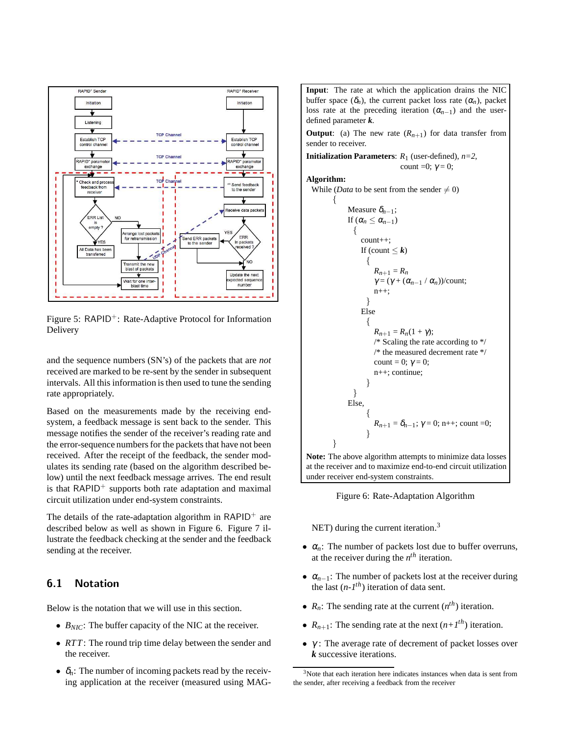

Figure 5: RAPID<sup>+</sup>: Rate-Adaptive Protocol for Information Delivery

and the sequence numbers (SN's) of the packets that are *not* received are marked to be re-sent by the sender in subsequent intervals. All this information is then used to tune the sending rate appropriately.

Based on the measurements made by the receiving endsystem, a feedback message is sent back to the sender. This message notifies the sender of the receiver's reading rate and the error-sequence numbers for the packets that have not been received. After the receipt of the feedback, the sender modulates its sending rate (based on the algorithm described below) until the next feedback message arrives. The end result is that  $RAPID<sup>+</sup>$  supports both rate adaptation and maximal circuit utilization under end-system constraints.

The details of the rate-adaptation algorithm in  $RAPID<sup>+</sup>$  are described below as well as shown in Figure 6. Figure 7 illustrate the feedback checking at the sender and the feedback sending at the receiver.

#### 6.1 Notation

Below is the notation that we will use in this section.

- *B<sub>NIC</sub>*: The buffer capacity of the NIC at the receiver.
- *RTT*: The round trip time delay between the sender and the receiver.
- $\delta_n$ : The number of incoming packets read by the receiving application at the receiver (measured using MAG-

**Input**: The rate at which the application drains the NIC buffer space  $(\delta_n)$ , the current packet loss rate  $(\alpha_n)$ , packet loss rate at the preceding iteration  $(\alpha_{n-1})$  and the userdefined parameter *k*.

**Output**: (a) The new rate  $(R_{n+1})$  for data transfer from sender to receiver.

**Initialization Parameters:**  $R_1$  (user-defined),  $n=2$ ,

count =0;  $\gamma = 0$ ;

#### **Algorithm:**

While (*Data* to be sent from the sender  $\neq$  0)

```
{
               Measure \delta_{n-1};
               If (\alpha_n \leq \alpha_{n-1}){
                    count++;
                    If (count \leq k)
                      {
                         R_{n+1} = R_n\gamma = (\gamma + (\alpha_{n-1} / \alpha_n)) / \text{count};n_{++};
                      }
                   Else
                      {
                        R_{n+1} = R_n(1 + \gamma);/* Scaling the rate according to */
                        /* the measured decrement rate */
                        count = 0; \gamma = 0;
                         n++; continue;
                      }
                 }
               Else,
                      {
                        R_{n+1} = \delta_{n-1}; \gamma = 0; n++; count =0;
                      }
          }
Note: The above algorithm attempts to minimize data losses
at the receiver and to maximize end-to-end circuit utilization
```
under receiver end-system constraints.

Figure 6: Rate-Adaptation Algorithm

NET) during the current iteration.<sup>3</sup>

- $\bullet$   $\alpha_n$ : The number of packets lost due to buffer overruns, at the receiver during the  $n<sup>th</sup>$  iteration.
- $\alpha_{n-1}$ : The number of packets lost at the receiver during the last  $(n-l<sup>th</sup>)$  iteration of data sent.
- $R_n$ : The sending rate at the current  $(n<sup>th</sup>)$  iteration.
- $R_{n+1}$ : The sending rate at the next  $(n+1<sup>th</sup>)$  iteration.
- $\bullet$   $\gamma$  : The average rate of decrement of packet losses over *k* successive iterations.

<sup>&</sup>lt;sup>3</sup>Note that each iteration here indicates instances when data is sent from the sender, after receiving a feedback from the receiver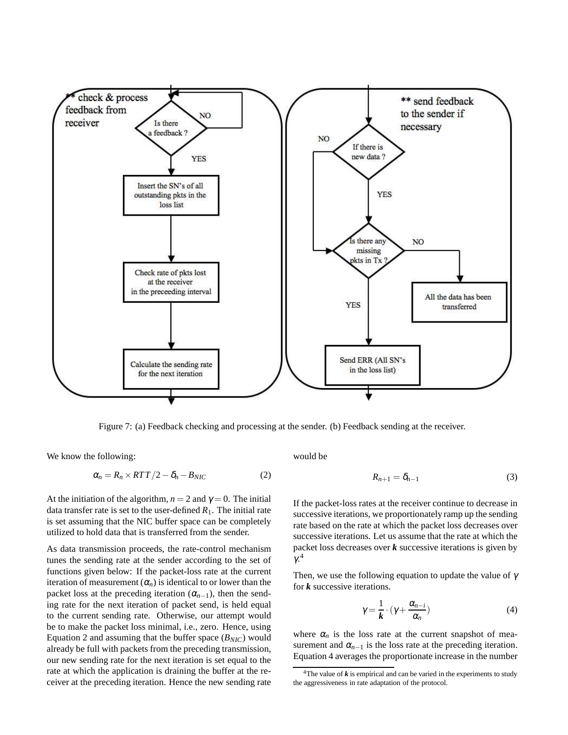

Figure 7: (a) Feedback checking and processing at the sender. (b) Feedback sending at the receiver.

We know the following:

$$
\alpha_n = R_n \times RTT/2 - \delta_n - B_{NIC} \tag{2}
$$

At the initiation of the algorithm,  $n = 2$  and  $\gamma = 0$ . The initial data transfer rate is set to the user-defined  $R_1$ . The initial rate is set assuming that the NIC buffer space can be completely utilized to hold data that is transferred from the sender.

As data transmission proceeds, the rate-control mechanism tunes the sending rate at the sender according to the set of functions given below: If the packet-loss rate at the current iteration of measurement  $(\alpha_n)$  is identical to or lower than the packet loss at the preceding iteration  $(\alpha_{n-1})$ , then the sending rate for the next iteration of packet send, is held equal to the current sending rate. Otherwise, our attempt would be to make the packet loss minimal, i.e., zero. Hence, using Equation 2 and assuming that the buffer space  $(B<sub>NIC</sub>)$  would already be full with packets from the preceding transmission, our new sending rate for the next iteration is set equal to the rate at which the application is draining the buffer at the receiver at the preceding iteration. Hence the new sending rate would be

$$
R_{n+1} = \delta_{n-1} \tag{3}
$$

If the packet-loss rates at the receiver continue to decrease in successive iterations, we proportionately ramp up the sending rate based on the rate at which the packet loss decreases over successive iterations. Let us assume that the rate at which the packet loss decreases over  $k$  successive iterations is given by  $γ<sup>4</sup>$ 

Then, we use the following equation to update the value of  $\gamma$ for *k* successive iterations.

$$
\gamma = \frac{1}{k} \cdot (\gamma + \frac{\alpha_{n-i}}{\alpha_n}) \tag{4}
$$

where  $\alpha_n$  is the loss rate at the current snapshot of measurement and  $\alpha_{n-1}$  is the loss rate at the preceding iteration. Equation 4 averages the proportionate increase in the number

<sup>&</sup>lt;sup>4</sup>The value of  $\boldsymbol{k}$  is empirical and can be varied in the experiments to study the aggressiveness in rate adaptation of the protocol.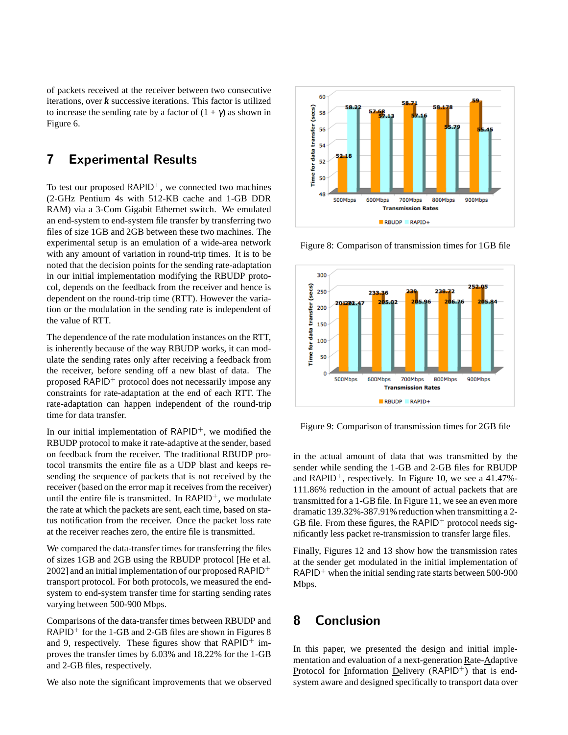of packets received at the receiver between two consecutive iterations, over *k* successive iterations. This factor is utilized to increase the sending rate by a factor of  $(1 + \gamma)$  as shown in Figure 6.

### 7 Experimental Results

To test our proposed  $RAPID^+$ , we connected two machines (2-GHz Pentium 4s with 512-KB cache and 1-GB DDR RAM) via a 3-Com Gigabit Ethernet switch. We emulated an end-system to end-system file transfer by transferring two files of size 1GB and 2GB between these two machines. The experimental setup is an emulation of a wide-area network with any amount of variation in round-trip times. It is to be noted that the decision points for the sending rate-adaptation in our initial implementation modifying the RBUDP protocol, depends on the feedback from the receiver and hence is dependent on the round-trip time (RTT). However the variation or the modulation in the sending rate is independent of the value of RTT.

The dependence of the rate modulation instances on the RTT, is inherently because of the way RBUDP works, it can modulate the sending rates only after receiving a feedback from the receiver, before sending off a new blast of data. The proposed  $RAPID<sup>+</sup>$  protocol does not necessarily impose any constraints for rate-adaptation at the end of each RTT. The rate-adaptation can happen independent of the round-trip time for data transfer.

In our initial implementation of  $\mathsf{RAPID}^+$ , we modified the RBUDP protocol to make it rate-adaptive at the sender, based on feedback from the receiver. The traditional RBUDP protocol transmits the entire file as a UDP blast and keeps resending the sequence of packets that is not received by the receiver (based on the error map it receives from the receiver) until the entire file is transmitted. In  $\mathsf{RAPID}^+$ , we modulate the rate at which the packets are sent, each time, based on status notification from the receiver. Once the packet loss rate at the receiver reaches zero, the entire file is transmitted.

We compared the data-transfer times for transferring the files of sizes 1GB and 2GB using the RBUDP protocol [He et al. 2002] and an initial implementation of our proposed  $\mathsf{RAPID}^+$ transport protocol. For both protocols, we measured the endsystem to end-system transfer time for starting sending rates varying between 500-900 Mbps.

Comparisons of the data-transfer times between RBUDP and  $RAPID<sup>+</sup>$  for the 1-GB and 2-GB files are shown in Figures 8 and 9, respectively. These figures show that  $\mathsf{RAPID}^+$  improves the transfer times by 6.03% and 18.22% for the 1-GB and 2-GB files, respectively.

We also note the significant improvements that we observed



Figure 8: Comparison of transmission times for 1GB file



Figure 9: Comparison of transmission times for 2GB file

in the actual amount of data that was transmitted by the sender while sending the 1-GB and 2-GB files for RBUDP and RAPID<sup>+</sup>, respectively. In Figure 10, we see a 41.47%-111.86% reduction in the amount of actual packets that are transmitted for a 1-GB file. In Figure 11, we see an even more dramatic 139.32%-387.91% reduction when transmitting a 2- GB file. From these figures, the  $RAPID<sup>+</sup>$  protocol needs significantly less packet re-transmission to transfer large files.

Finally, Figures 12 and 13 show how the transmission rates at the sender get modulated in the initial implementation of  $RAPID<sup>+</sup>$  when the initial sending rate starts between 500-900 Mbps.

### 8 Conclusion

In this paper, we presented the design and initial implementation and evaluation of a next-generation Rate-Adaptive Protocol for Information Delivery (RAPID<sup>+</sup>) that is endsystem aware and designed specifically to transport data over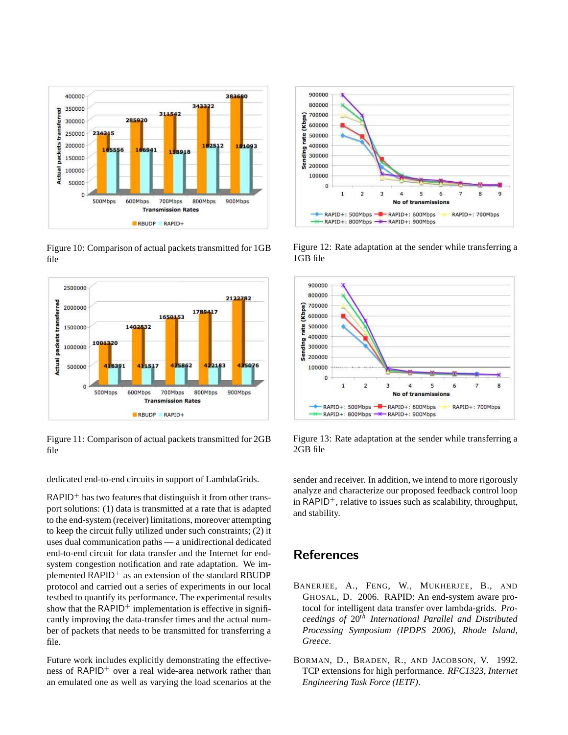

Figure 10: Comparison of actual packets transmitted for 1GB file



Figure 11: Comparison of actual packets transmitted for 2GB file

dedicated end-to-end circuits in support of LambdaGrids.

 $RAPID<sup>+</sup>$  has two features that distinguish it from other transport solutions: (1) data is transmitted at a rate that is adapted to the end-system (receiver) limitations, moreover attempting to keep the circuit fully utilized under such constraints; (2) it uses dual communication paths — a unidirectional dedicated end-to-end circuit for data transfer and the Internet for endsystem congestion notification and rate adaptation. We implemented  $\mathsf{RAPID}^+$  as an extension of the standard  $\mathsf{RBUDP}$ protocol and carried out a series of experiments in our local testbed to quantify its performance. The experimental results show that the  $\mathsf{RAPID}^+$  implementation is effective in significantly improving the data-transfer times and the actual number of packets that needs to be transmitted for transferring a file.

Future work includes explicitly demonstrating the effectiveness of RAPID<sup>+</sup> over a real wide-area network rather than an emulated one as well as varying the load scenarios at the



Figure 12: Rate adaptation at the sender while transferring a 1GB file



Figure 13: Rate adaptation at the sender while transferring a 2GB file

sender and receiver. In addition, we intend to more rigorously analyze and characterize our proposed feedback control loop in RAPID<sup>+</sup>, relative to issues such as scalability, throughput, and stability.

### References

- BANERJEE, A., FENG, W., MUKHERJEE, B., AND GHOSAL, D. 2006. RAPID: An end-system aware protocol for intelligent data transfer over lambda-grids. *Proceedings of* 20*th International Parallel and Distributed Processing Symposium (IPDPS 2006), Rhode Island, Greece*.
- BORMAN, D., BRADEN, R., AND JACOBSON, V. 1992. TCP extensions for high performance. *RFC1323, Internet Engineering Task Force (IETF)*.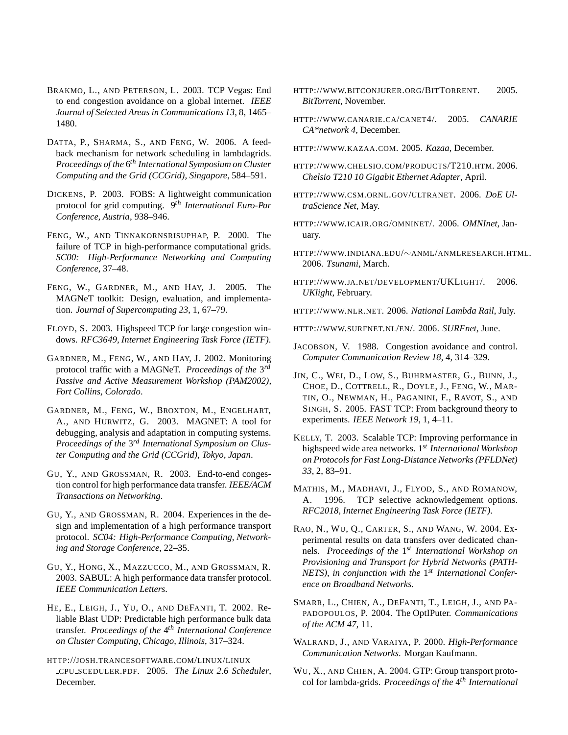- BRAKMO, L., AND PETERSON, L. 2003. TCP Vegas: End to end congestion avoidance on a global internet. *IEEE Journal of Selected Areas in Communications 13*, 8, 1465– 1480.
- DATTA, P., SHARMA, S., AND FENG, W. 2006. A feedback mechanism for network scheduling in lambdagrids. *Proceedings of the* 6 *th International Symposium on Cluster Computing and the Grid (CCGrid), Singapore*, 584–591.
- DICKENS, P. 2003. FOBS: A lightweight communication protocol for grid computing. 9*th International Euro-Par Conference, Austria*, 938–946.
- FENG, W., AND TINNAKORNSRISUPHAP, P. 2000. The failure of TCP in high-performance computational grids. *SC00: High-Performance Networking and Computing Conference*, 37–48.
- FENG, W., GARDNER, M., AND HAY, J. 2005. The MAGNeT toolkit: Design, evaluation, and implementation. *Journal of Supercomputing 23*, 1, 67–79.
- FLOYD, S. 2003. Highspeed TCP for large congestion windows. *RFC3649, Internet Engineering Task Force (IETF)*.
- GARDNER, M., FENG, W., AND HAY, J. 2002. Monitoring protocol traffic with a MAGNeT. *Proceedings of the* 3 *rd Passive and Active Measurement Workshop (PAM2002), Fort Collins, Colorado*.
- GARDNER, M., FENG, W., BROXTON, M., ENGELHART, A., AND HURWITZ, G. 2003. MAGNET: A tool for debugging, analysis and adaptation in computing systems. *Proceedings of the* 3 *rd International Symposium on Cluster Computing and the Grid (CCGrid), Tokyo, Japan*.
- GU, Y., AND GROSSMAN, R. 2003. End-to-end congestion control for high performance data transfer. *IEEE/ACM Transactions on Networking*.
- GU, Y., AND GROSSMAN, R. 2004. Experiences in the design and implementation of a high performance transport protocol. *SC04: High-Performance Computing, Networking and Storage Conference*, 22–35.
- GU, Y., HONG, X., MAZZUCCO, M., AND GROSSMAN, R. 2003. SABUL: A high performance data transfer protocol. *IEEE Communication Letters*.
- HE, E., LEIGH, J., YU, O., AND DEFANTI, T. 2002. Reliable Blast UDP: Predictable high performance bulk data transfer. *Proceedings of the* 4 *th International Conference on Cluster Computing, Chicago, Illinois*, 317–324.
- HTTP://JOSH.TRANCESOFTWARE.COM/LINUX/LINUX CPU SCEDULER.PDF. 2005. *The Linux 2.6 Scheduler*, December.
- HTTP://WWW.BITCONJURER.ORG/BITTORRENT. 2005. *BitTorrent*, November.
- HTTP://WWW.CANARIE.CA/CANET4/. 2005. *CANARIE CA\*network 4*, December.
- HTTP://WWW.KAZAA.COM. 2005. *Kazaa*, December.
- HTTP://WWW.CHELSIO.COM/PRODUCTS/T210.HTM. 2006. *Chelsio T210 10 Gigabit Ethernet Adapter*, April.
- HTTP://WWW.CSM.ORNL.GOV/ULTRANET. 2006. *DoE UltraScience Net*, May.
- HTTP://WWW.ICAIR.ORG/OMNINET/. 2006. *OMNInet*, January.
- HTTP://WWW.INDIANA.EDU/∼ANML/ANMLRESEARCH.HTML. 2006. *Tsunami*, March.
- HTTP://WWW.JA.NET/DEVELOPMENT/UKLIGHT/. 2006. *UKlight*, February.
- HTTP://WWW.NLR.NET. 2006. *National Lambda Rail*, July.
- HTTP://WWW.SURFNET.NL/EN/. 2006. *SURFnet*, June.
- JACOBSON, V. 1988. Congestion avoidance and control. *Computer Communication Review 18*, 4, 314–329.
- JIN, C., WEI, D., LOW, S., BUHRMASTER, G., BUNN, J., CHOE, D., COTTRELL, R., DOYLE, J., FENG, W., MAR-TIN, O., NEWMAN, H., PAGANINI, F., RAVOT, S., AND SINGH, S. 2005. FAST TCP: From background theory to experiments. *IEEE Network 19*, 1, 4–11.
- KELLY, T. 2003. Scalable TCP: Improving performance in highspeed wide area networks. 1*st International Workshop on Protocols for Fast Long-Distance Networks (PFLDNet) 33*, 2, 83–91.
- MATHIS, M., MADHAVI, J., FLYOD, S., AND ROMANOW, A. 1996. TCP selective acknowledgement options. *RFC2018, Internet Engineering Task Force (IETF)*.
- RAO, N., WU, Q., CARTER, S., AND WANG, W. 2004. Experimental results on data transfers over dedicated channels. *Proceedings of the* 1 *st International Workshop on Provisioning and Transport for Hybrid Networks (PATH-NETS), in conjunction with the* 1 *st International Conference on Broadband Networks*.
- SMARR, L., CHIEN, A., DEFANTI, T., LEIGH, J., AND PA-PADOPOULOS, P. 2004. The OptIPuter. *Communications of the ACM 47*, 11.
- WALRAND, J., AND VARAIYA, P. 2000. *High-Performance Communication Networks*. Morgan Kaufmann.
- WU, X., AND CHIEN, A. 2004. GTP: Group transport protocol for lambda-grids. *Proceedings of the* 4 *th International*